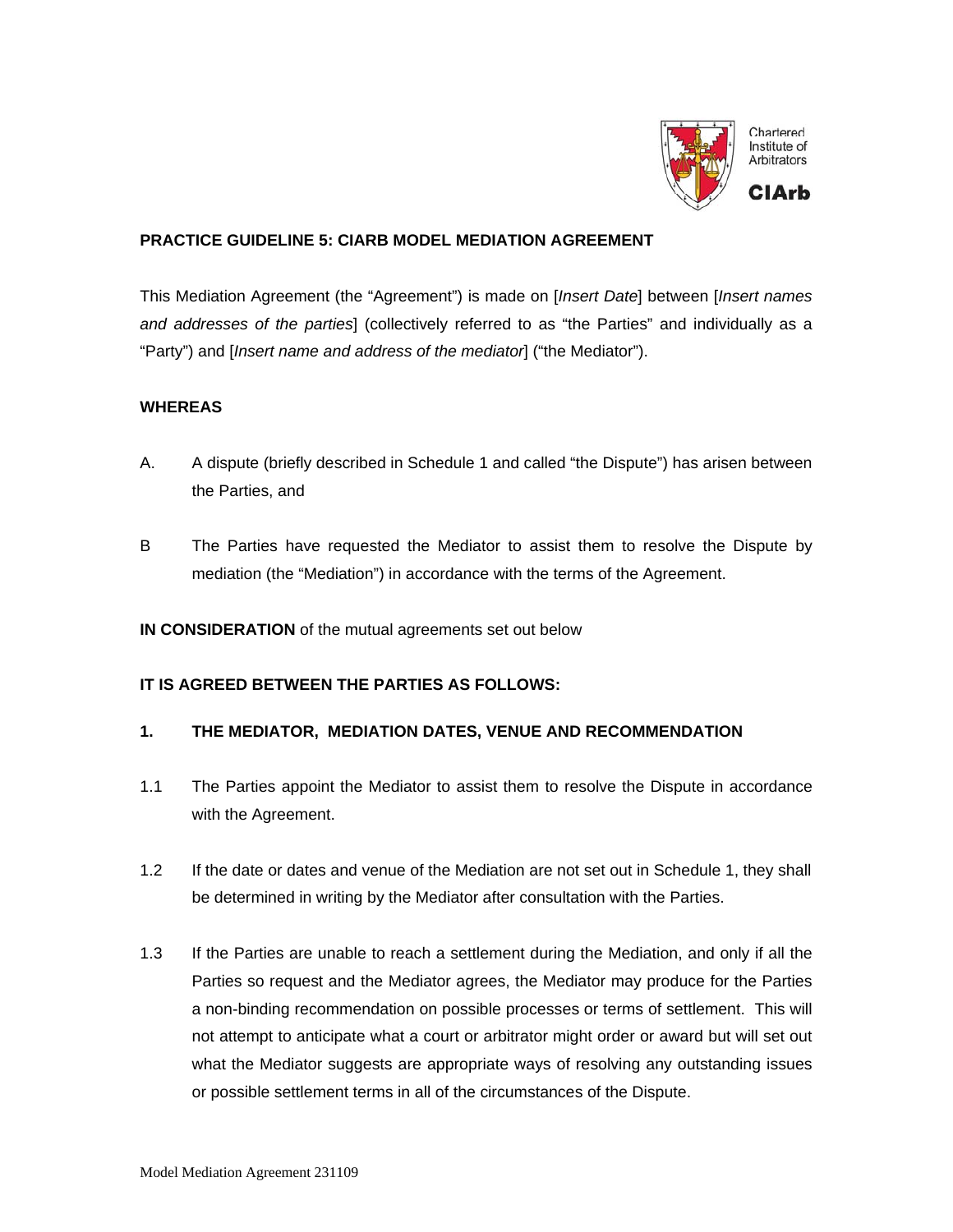

### **PRACTICE GUIDELINE 5: CIARB MODEL MEDIATION AGREEMENT**

This Mediation Agreement (the "Agreement") is made on [*Insert Date*] between [*Insert names and addresses of the parties*] (collectively referred to as "the Parties" and individually as a "Party") and [*Insert name and address of the mediator*] ("the Mediator").

#### **WHEREAS**

- A. A dispute (briefly described in Schedule 1 and called "the Dispute") has arisen between the Parties, and
- B The Parties have requested the Mediator to assist them to resolve the Dispute by mediation (the "Mediation") in accordance with the terms of the Agreement.
- **IN CONSIDERATION** of the mutual agreements set out below

### **IT IS AGREED BETWEEN THE PARTIES AS FOLLOWS:**

#### **1. THE MEDIATOR, MEDIATION DATES, VENUE AND RECOMMENDATION**

- 1.1 The Parties appoint the Mediator to assist them to resolve the Dispute in accordance with the Agreement.
- 1.2 If the date or dates and venue of the Mediation are not set out in Schedule 1, they shall be determined in writing by the Mediator after consultation with the Parties.
- 1.3 If the Parties are unable to reach a settlement during the Mediation, and only if all the Parties so request and the Mediator agrees, the Mediator may produce for the Parties a non-binding recommendation on possible processes or terms of settlement. This will not attempt to anticipate what a court or arbitrator might order or award but will set out what the Mediator suggests are appropriate ways of resolving any outstanding issues or possible settlement terms in all of the circumstances of the Dispute.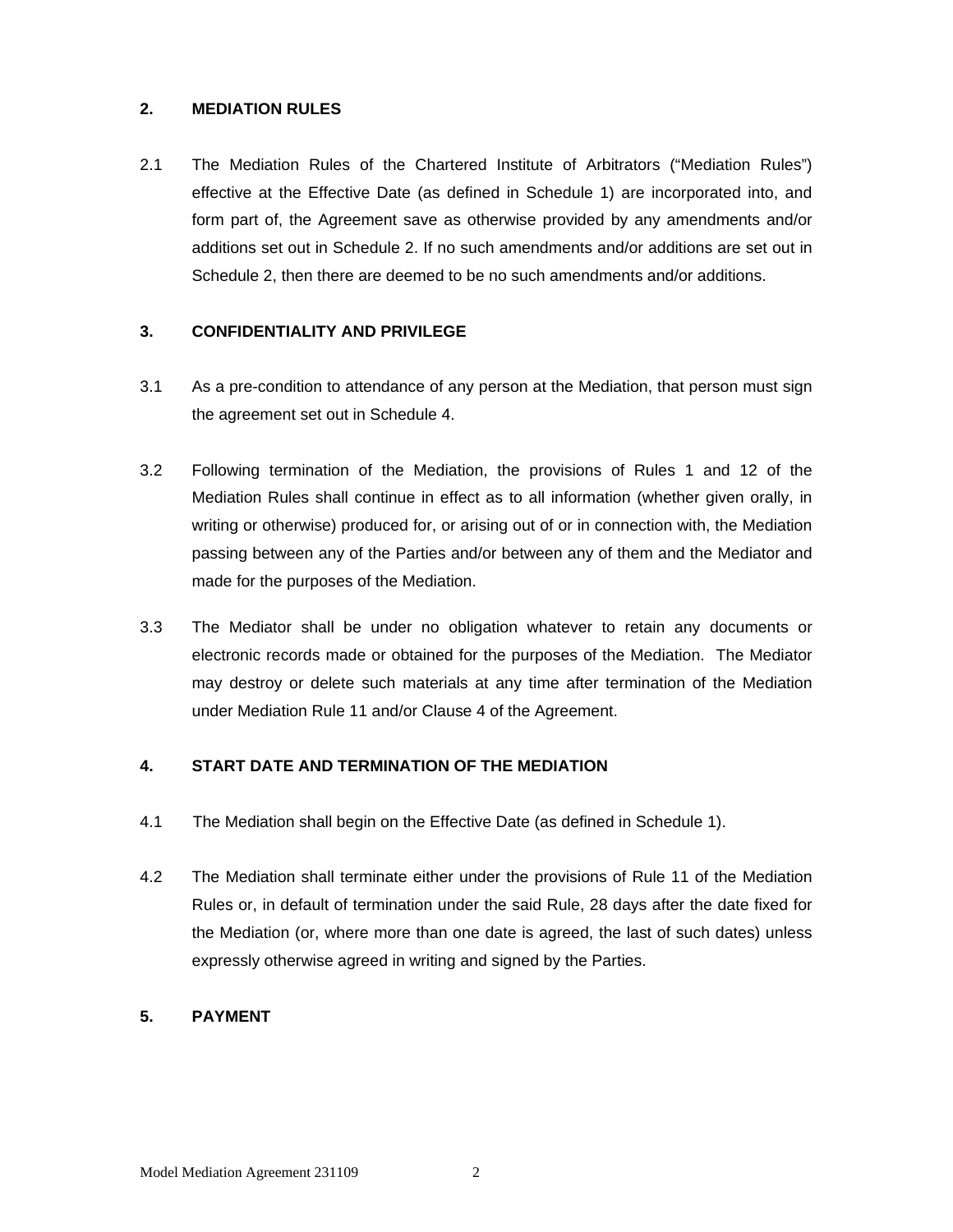### **2. MEDIATION RULES**

2.1 The Mediation Rules of the Chartered Institute of Arbitrators ("Mediation Rules") effective at the Effective Date (as defined in Schedule 1) are incorporated into, and form part of, the Agreement save as otherwise provided by any amendments and/or additions set out in Schedule 2. If no such amendments and/or additions are set out in Schedule 2, then there are deemed to be no such amendments and/or additions.

### **3. CONFIDENTIALITY AND PRIVILEGE**

- 3.1 As a pre-condition to attendance of any person at the Mediation, that person must sign the agreement set out in Schedule 4.
- 3.2 Following termination of the Mediation, the provisions of Rules 1 and 12 of the Mediation Rules shall continue in effect as to all information (whether given orally, in writing or otherwise) produced for, or arising out of or in connection with, the Mediation passing between any of the Parties and/or between any of them and the Mediator and made for the purposes of the Mediation.
- 3.3 The Mediator shall be under no obligation whatever to retain any documents or electronic records made or obtained for the purposes of the Mediation. The Mediator may destroy or delete such materials at any time after termination of the Mediation under Mediation Rule 11 and/or Clause 4 of the Agreement.

## **4. START DATE AND TERMINATION OF THE MEDIATION**

- 4.1 The Mediation shall begin on the Effective Date (as defined in Schedule 1).
- 4.2 The Mediation shall terminate either under the provisions of Rule 11 of the Mediation Rules or, in default of termination under the said Rule, 28 days after the date fixed for the Mediation (or, where more than one date is agreed, the last of such dates) unless expressly otherwise agreed in writing and signed by the Parties.

#### **5. PAYMENT**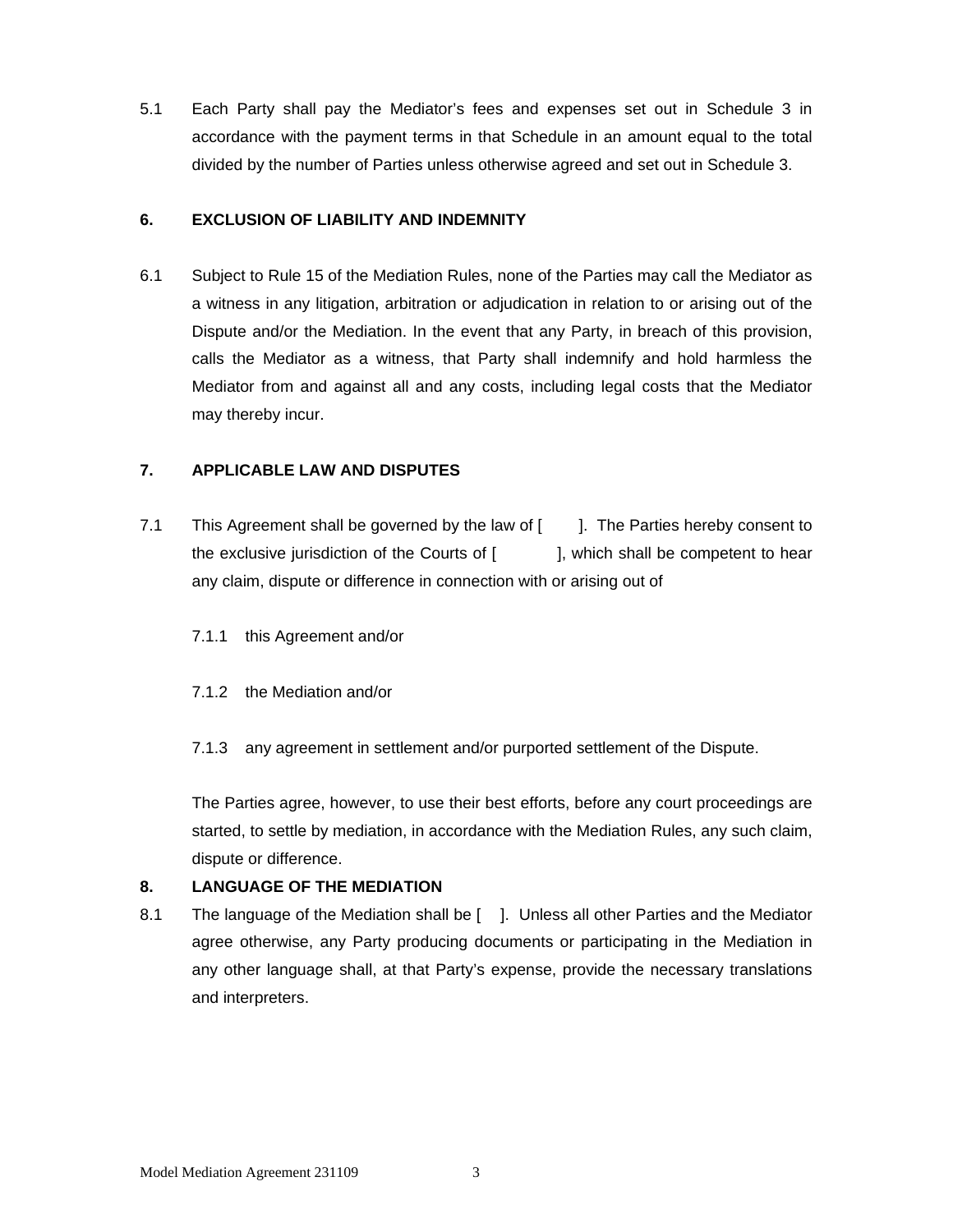5.1 Each Party shall pay the Mediator's fees and expenses set out in Schedule 3 in accordance with the payment terms in that Schedule in an amount equal to the total divided by the number of Parties unless otherwise agreed and set out in Schedule 3.

#### **6. EXCLUSION OF LIABILITY AND INDEMNITY**

6.1 Subject to Rule 15 of the Mediation Rules, none of the Parties may call the Mediator as a witness in any litigation, arbitration or adjudication in relation to or arising out of the Dispute and/or the Mediation. In the event that any Party, in breach of this provision, calls the Mediator as a witness, that Party shall indemnify and hold harmless the Mediator from and against all and any costs, including legal costs that the Mediator may thereby incur.

### **7. APPLICABLE LAW AND DISPUTES**

- 7.1 This Agreement shall be governed by the law of [ ]. The Parties hereby consent to the exclusive jurisdiction of the Courts of  $\left| \right|$ , which shall be competent to hear any claim, dispute or difference in connection with or arising out of
	- 7.1.1 this Agreement and/or
	- 7.1.2 the Mediation and/or
	- 7.1.3 any agreement in settlement and/or purported settlement of the Dispute.

The Parties agree, however, to use their best efforts, before any court proceedings are started, to settle by mediation, in accordance with the Mediation Rules, any such claim, dispute or difference.

#### **8. LANGUAGE OF THE MEDIATION**

8.1 The language of the Mediation shall be [ ]. Unless all other Parties and the Mediator agree otherwise, any Party producing documents or participating in the Mediation in any other language shall, at that Party's expense, provide the necessary translations and interpreters.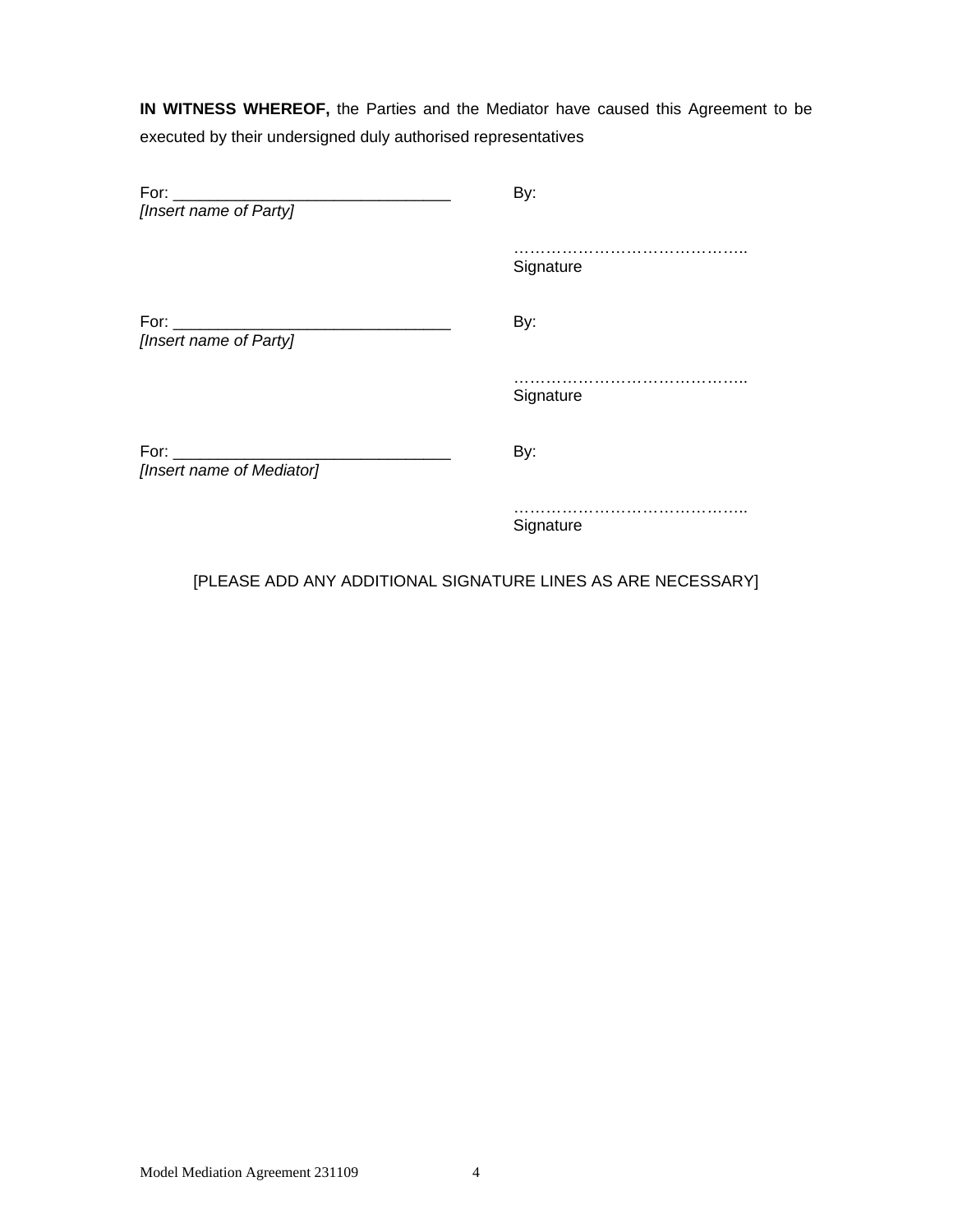**IN WITNESS WHEREOF,** the Parties and the Mediator have caused this Agreement to be executed by their undersigned duly authorised representatives

| For:<br>[Insert name of Party]                                                                                                                                                                                                                              | By:       |
|-------------------------------------------------------------------------------------------------------------------------------------------------------------------------------------------------------------------------------------------------------------|-----------|
|                                                                                                                                                                                                                                                             | Signature |
| For: and the state of the state of the state of the state of the state of the state of the state of the state of the state of the state of the state of the state of the state of the state of the state of the state of the s<br>[Insert name of Party]    | By:       |
|                                                                                                                                                                                                                                                             | Signature |
| For: the contract of the contract of the contract of the contract of the contract of the contract of the contract of the contract of the contract of the contract of the contract of the contract of the contract of the contr<br>[Insert name of Mediator] | By:       |
|                                                                                                                                                                                                                                                             | Signature |

[PLEASE ADD ANY ADDITIONAL SIGNATURE LINES AS ARE NECESSARY]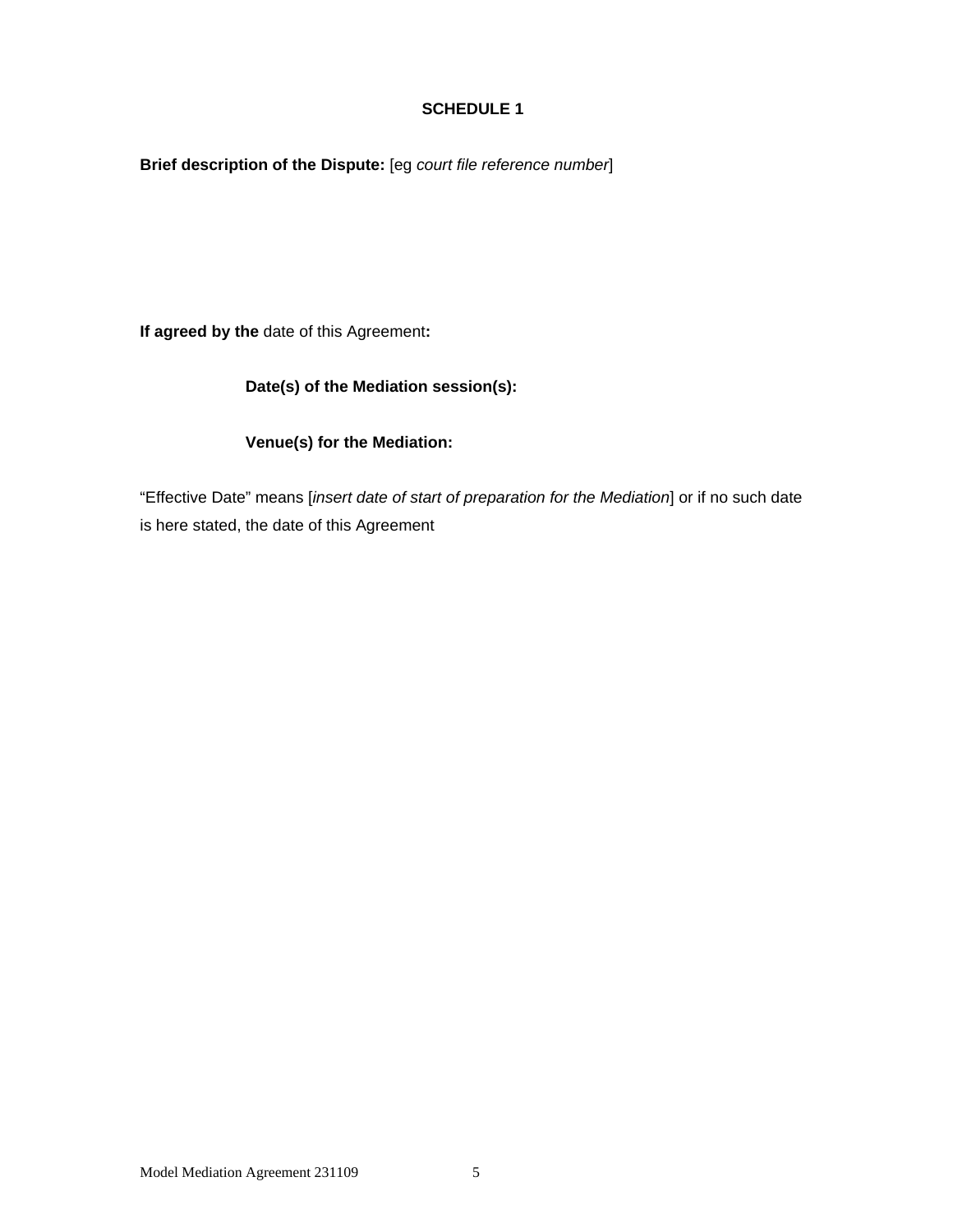### **SCHEDULE 1**

**Brief description of the Dispute:** [eg *court file reference number*]

**If agreed by the** date of this Agreement**:** 

# **Date(s) of the Mediation session(s):**

### **Venue(s) for the Mediation:**

"Effective Date" means [*insert date of start of preparation for the Mediation*] or if no such date is here stated, the date of this Agreement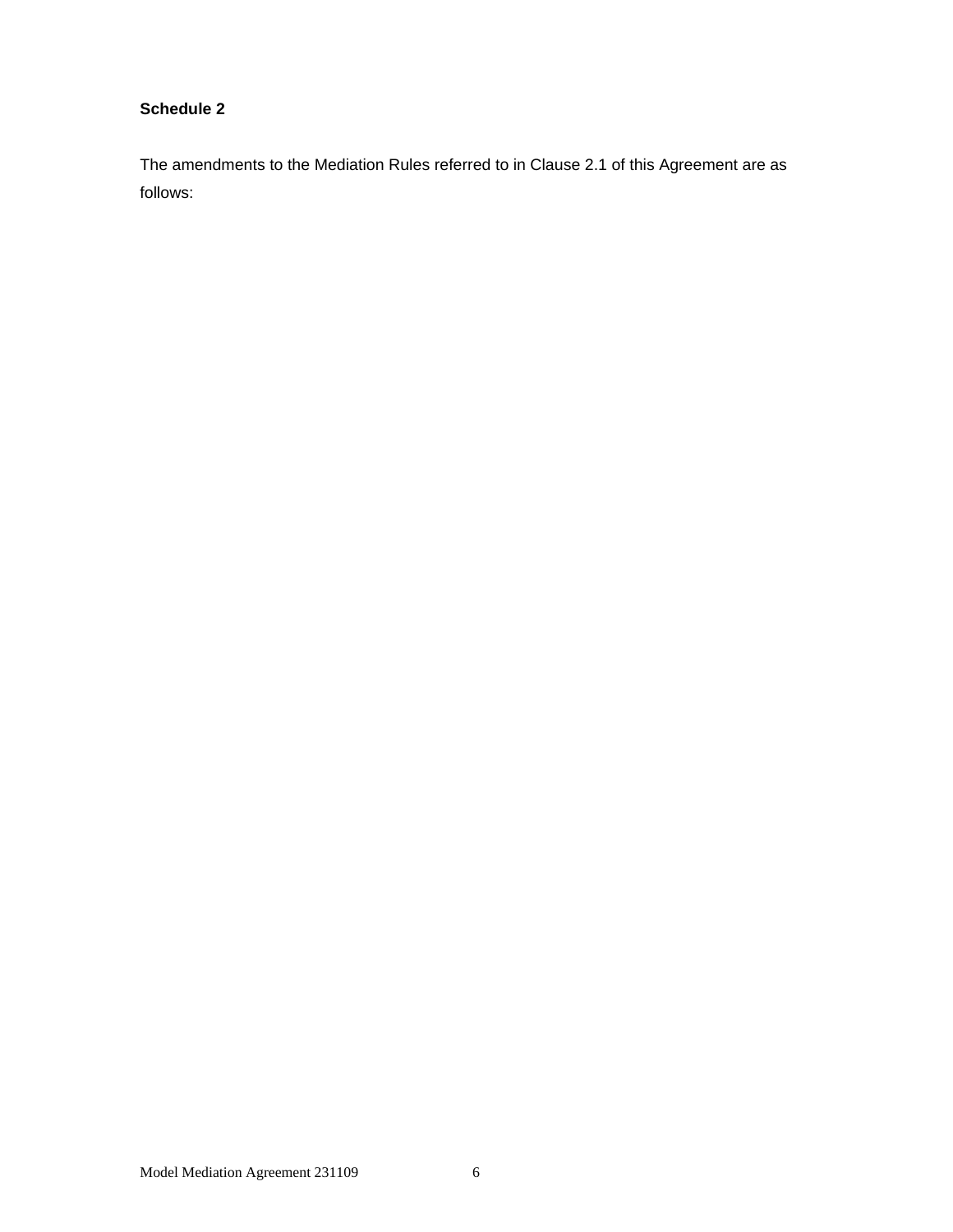### **Schedule 2**

The amendments to the Mediation Rules referred to in Clause 2.1 of this Agreement are as follows: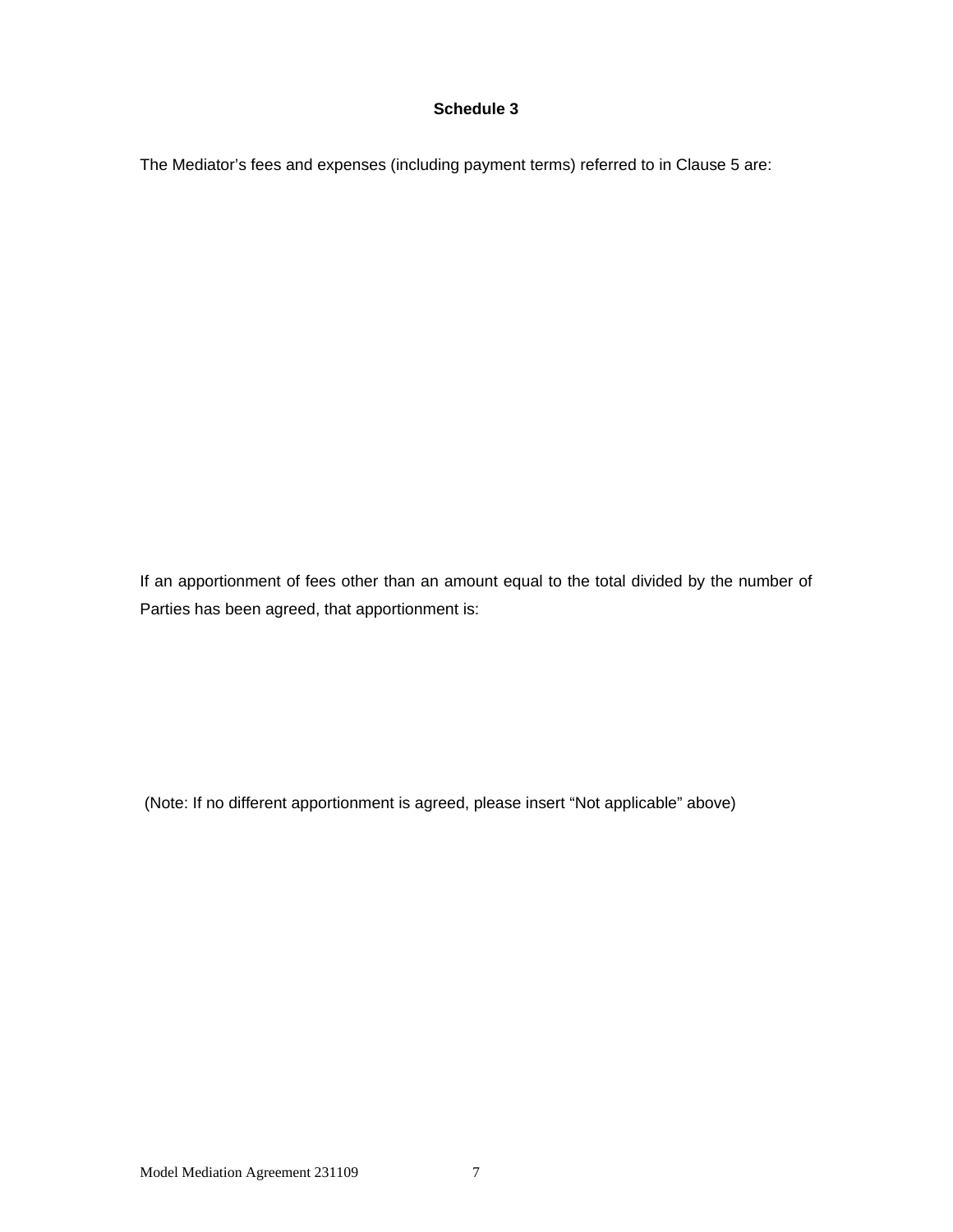#### **Schedule 3**

The Mediator's fees and expenses (including payment terms) referred to in Clause 5 are:

If an apportionment of fees other than an amount equal to the total divided by the number of Parties has been agreed, that apportionment is:

(Note: If no different apportionment is agreed, please insert "Not applicable" above)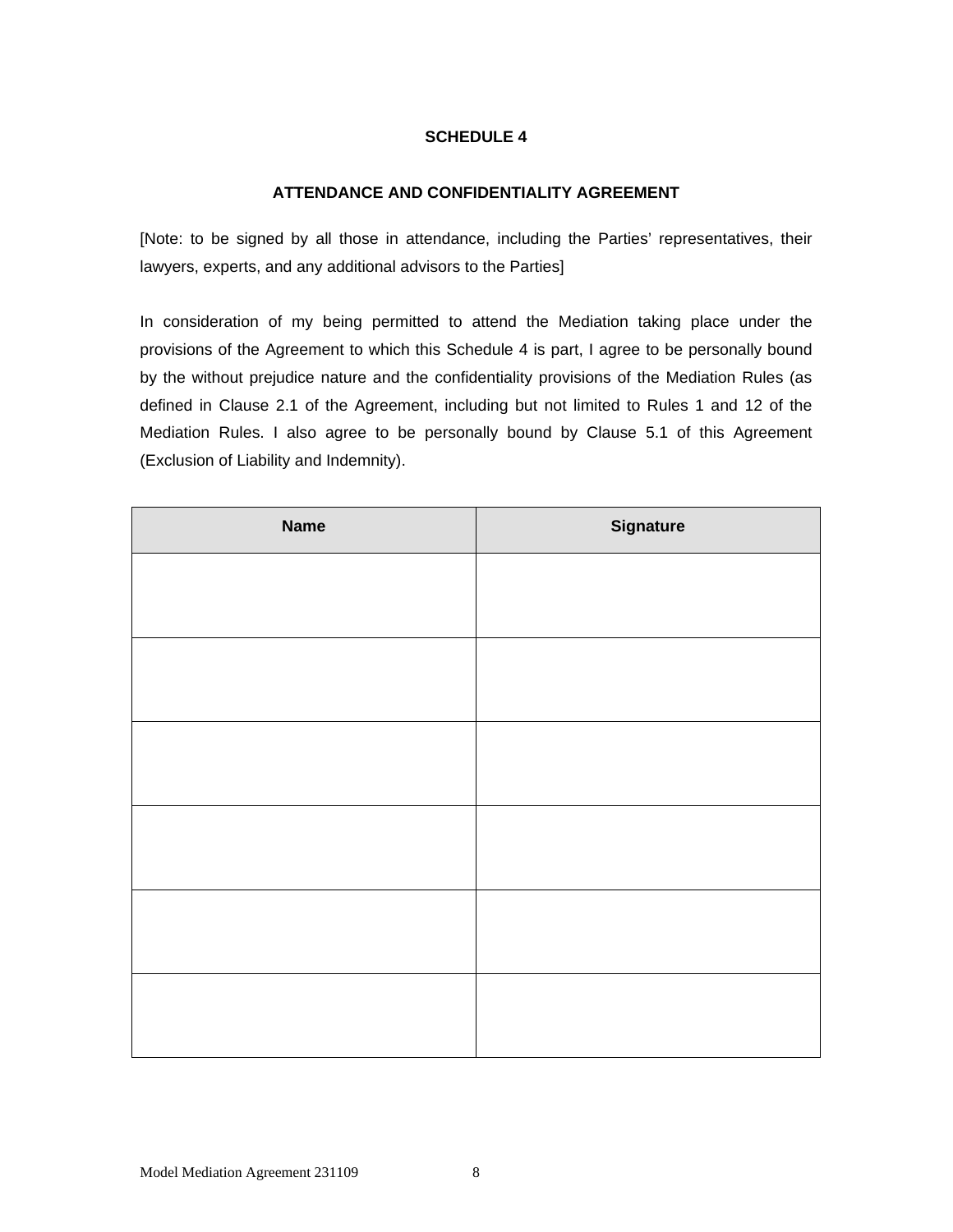## **SCHEDULE 4**

#### **ATTENDANCE AND CONFIDENTIALITY AGREEMENT**

[Note: to be signed by all those in attendance, including the Parties' representatives, their lawyers, experts, and any additional advisors to the Parties]

In consideration of my being permitted to attend the Mediation taking place under the provisions of the Agreement to which this Schedule 4 is part, I agree to be personally bound by the without prejudice nature and the confidentiality provisions of the Mediation Rules (as defined in Clause 2.1 of the Agreement, including but not limited to Rules 1 and 12 of the Mediation Rules. I also agree to be personally bound by Clause 5.1 of this Agreement (Exclusion of Liability and Indemnity).

| <b>Name</b> | <b>Signature</b> |
|-------------|------------------|
|             |                  |
|             |                  |
|             |                  |
|             |                  |
|             |                  |
|             |                  |
|             |                  |
|             |                  |
|             |                  |
|             |                  |
|             |                  |
|             |                  |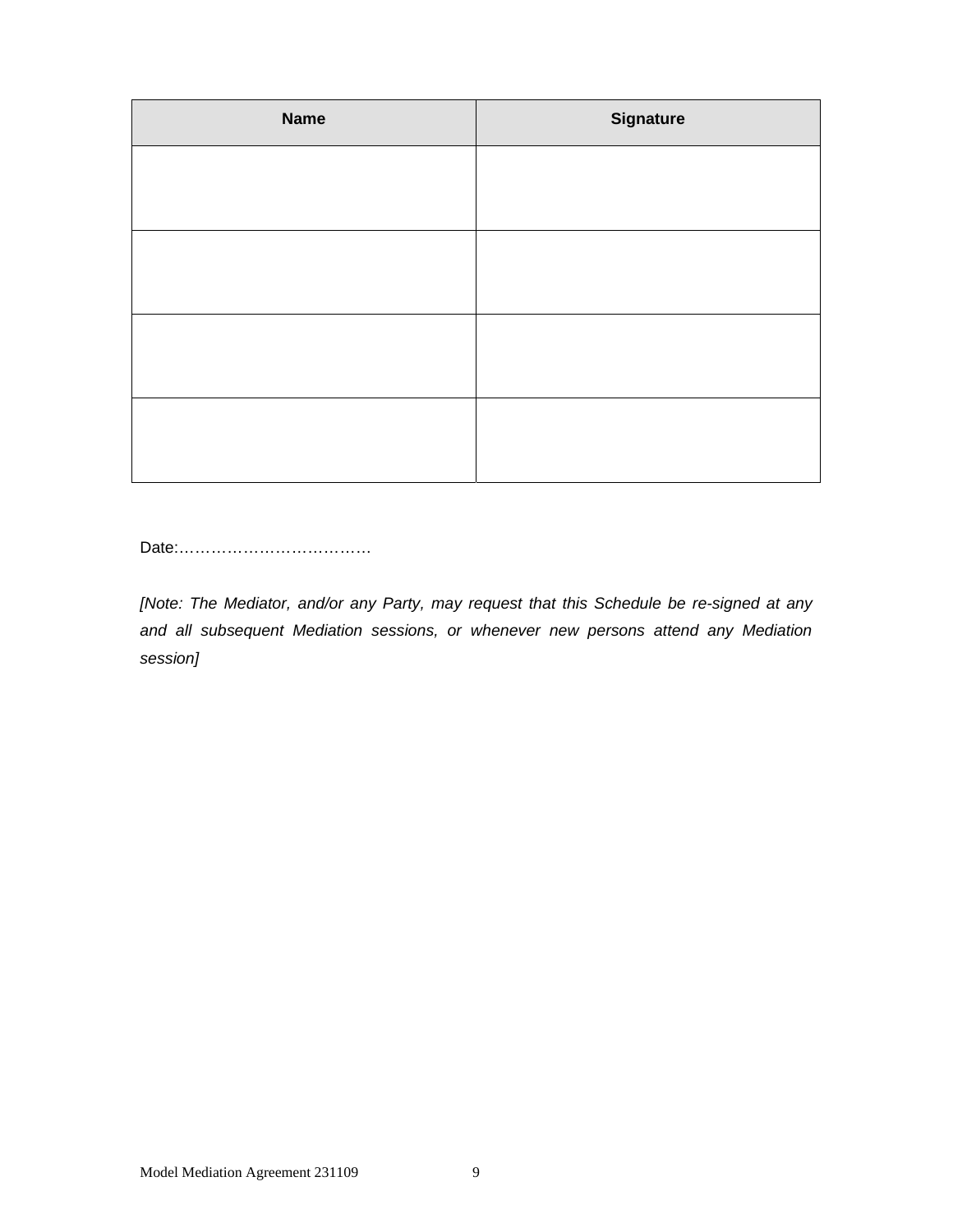| <b>Name</b> | <b>Signature</b> |
|-------------|------------------|
|             |                  |
|             |                  |
|             |                  |
|             |                  |
|             |                  |
|             |                  |
|             |                  |
|             |                  |

Date:………………………………

*[Note: The Mediator, and/or any Party, may request that this Schedule be re-signed at any and all subsequent Mediation sessions, or whenever new persons attend any Mediation session]*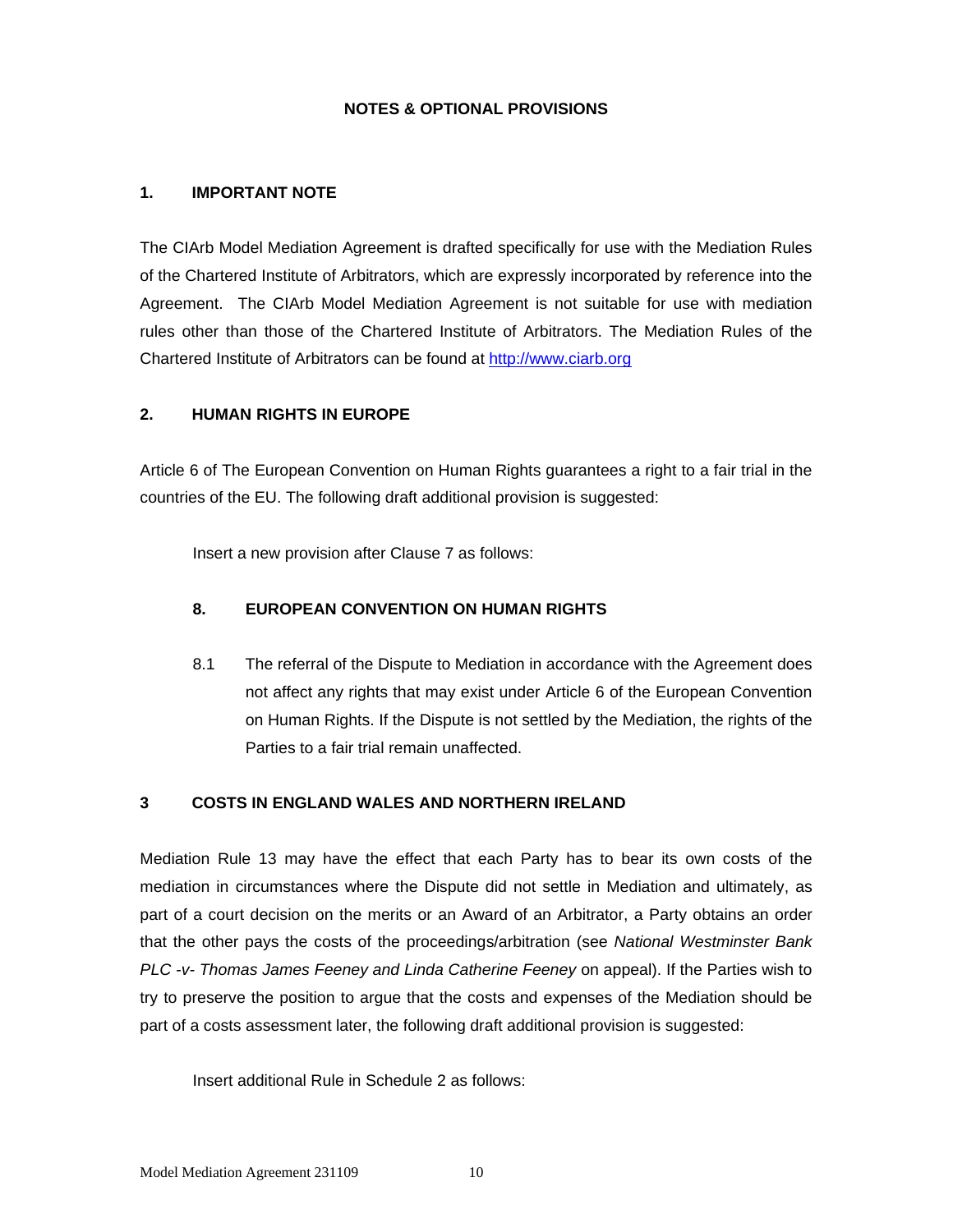### **NOTES & OPTIONAL PROVISIONS**

#### **1. IMPORTANT NOTE**

The CIArb Model Mediation Agreement is drafted specifically for use with the Mediation Rules of the Chartered Institute of Arbitrators, which are expressly incorporated by reference into the Agreement. The CIArb Model Mediation Agreement is not suitable for use with mediation rules other than those of the Chartered Institute of Arbitrators. The Mediation Rules of the Chartered Institute of Arbitrators can be found at http://www.ciarb.org

#### **2. HUMAN RIGHTS IN EUROPE**

Article 6 of The European Convention on Human Rights guarantees a right to a fair trial in the countries of the EU. The following draft additional provision is suggested:

Insert a new provision after Clause 7 as follows:

#### **8. EUROPEAN CONVENTION ON HUMAN RIGHTS**

8.1 The referral of the Dispute to Mediation in accordance with the Agreement does not affect any rights that may exist under Article 6 of the European Convention on Human Rights. If the Dispute is not settled by the Mediation, the rights of the Parties to a fair trial remain unaffected.

#### **3 COSTS IN ENGLAND WALES AND NORTHERN IRELAND**

Mediation Rule 13 may have the effect that each Party has to bear its own costs of the mediation in circumstances where the Dispute did not settle in Mediation and ultimately, as part of a court decision on the merits or an Award of an Arbitrator, a Party obtains an order that the other pays the costs of the proceedings/arbitration (see *National Westminster Bank PLC -v- Thomas James Feeney and Linda Catherine Feeney* on appeal). If the Parties wish to try to preserve the position to argue that the costs and expenses of the Mediation should be part of a costs assessment later, the following draft additional provision is suggested:

Insert additional Rule in Schedule 2 as follows: